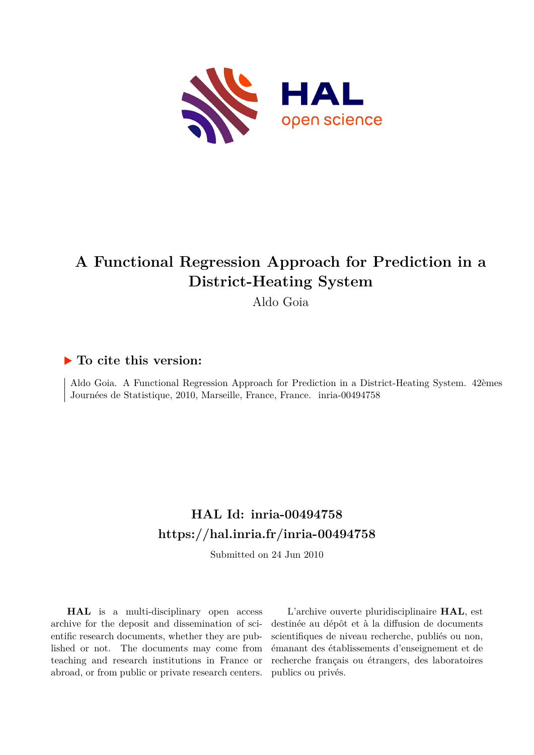

# **A Functional Regression Approach for Prediction in a District-Heating System**

Aldo Goia

### **To cite this version:**

Aldo Goia. A Functional Regression Approach for Prediction in a District-Heating System. 42èmes Journées de Statistique, 2010, Marseille, France, France. inria-00494758

## **HAL Id: inria-00494758 <https://hal.inria.fr/inria-00494758>**

Submitted on 24 Jun 2010

**HAL** is a multi-disciplinary open access archive for the deposit and dissemination of scientific research documents, whether they are published or not. The documents may come from teaching and research institutions in France or abroad, or from public or private research centers.

L'archive ouverte pluridisciplinaire **HAL**, est destinée au dépôt et à la diffusion de documents scientifiques de niveau recherche, publiés ou non, émanant des établissements d'enseignement et de recherche français ou étrangers, des laboratoires publics ou privés.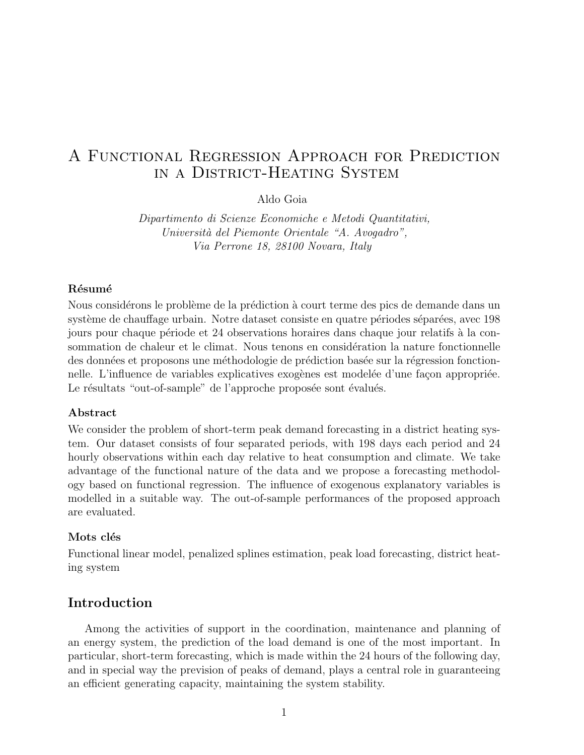### A Functional Regression Approach for Prediction in a District-Heating System

Aldo Goia

Dipartimento di Scienze Economiche e Metodi Quantitativi, Università del Piemonte Orientale "A. Avogadro", Via Perrone 18, 28100 Novara, Italy

#### Résumé

Nous considérons le problème de la prédiction à court terme des pics de demande dans un système de chauffage urbain. Notre dataset consiste en quatre périodes séparées, avec 198 jours pour chaque période et 24 observations horaires dans chaque jour relatifs à la consommation de chaleur et le climat. Nous tenons en considération la nature fonctionnelle des données et proposons une méthodologie de prédiction basée sur la régression fonctionnelle. L'influence de variables explicatives exogènes est modelée d'une façon appropriée. Le résultats "out-of-sample" de l'approche proposée sont évalués.

#### Abstract

We consider the problem of short-term peak demand forecasting in a district heating system. Our dataset consists of four separated periods, with 198 days each period and 24 hourly observations within each day relative to heat consumption and climate. We take advantage of the functional nature of the data and we propose a forecasting methodology based on functional regression. The influence of exogenous explanatory variables is modelled in a suitable way. The out-of-sample performances of the proposed approach are evaluated.

#### Mots clés

Functional linear model, penalized splines estimation, peak load forecasting, district heating system

#### Introduction

Among the activities of support in the coordination, maintenance and planning of an energy system, the prediction of the load demand is one of the most important. In particular, short-term forecasting, which is made within the 24 hours of the following day, and in special way the prevision of peaks of demand, plays a central role in guaranteeing an efficient generating capacity, maintaining the system stability.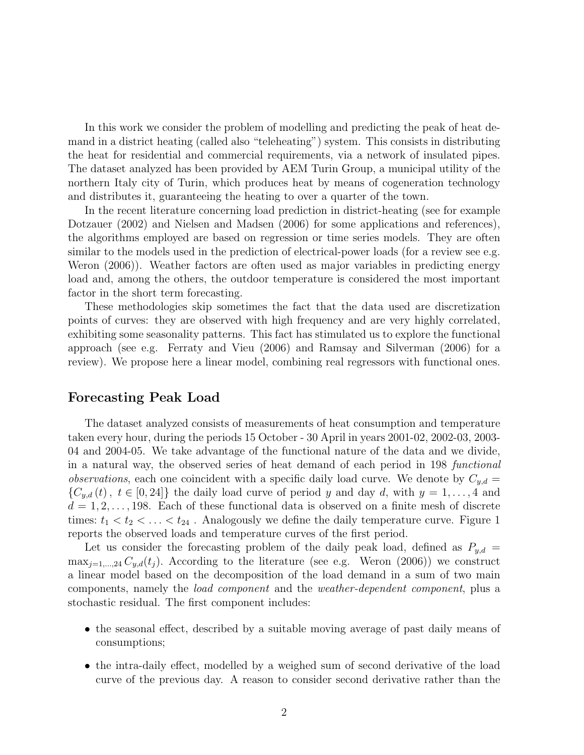In this work we consider the problem of modelling and predicting the peak of heat demand in a district heating (called also "teleheating") system. This consists in distributing the heat for residential and commercial requirements, via a network of insulated pipes. The dataset analyzed has been provided by AEM Turin Group, a municipal utility of the northern Italy city of Turin, which produces heat by means of cogeneration technology and distributes it, guaranteeing the heating to over a quarter of the town.

In the recent literature concerning load prediction in district-heating (see for example Dotzauer (2002) and Nielsen and Madsen (2006) for some applications and references), the algorithms employed are based on regression or time series models. They are often similar to the models used in the prediction of electrical-power loads (for a review see e.g. Weron (2006)). Weather factors are often used as major variables in predicting energy load and, among the others, the outdoor temperature is considered the most important factor in the short term forecasting.

These methodologies skip sometimes the fact that the data used are discretization points of curves: they are observed with high frequency and are very highly correlated, exhibiting some seasonality patterns. This fact has stimulated us to explore the functional approach (see e.g. Ferraty and Vieu (2006) and Ramsay and Silverman (2006) for a review). We propose here a linear model, combining real regressors with functional ones.

#### Forecasting Peak Load

The dataset analyzed consists of measurements of heat consumption and temperature taken every hour, during the periods 15 October - 30 April in years 2001-02, 2002-03, 2003- 04 and 2004-05. We take advantage of the functional nature of the data and we divide, in a natural way, the observed series of heat demand of each period in 198 functional *observations*, each one coincident with a specific daily load curve. We denote by  $C_{y,d} =$  ${C_{y,d}(t), t \in [0,24]}$  the daily load curve of period y and day d, with  $y = 1, \ldots, 4$  and  $d = 1, 2, \ldots, 198$ . Each of these functional data is observed on a finite mesh of discrete times:  $t_1 < t_2 < \ldots < t_{24}$ . Analogously we define the daily temperature curve. Figure 1 reports the observed loads and temperature curves of the first period.

Let us consider the forecasting problem of the daily peak load, defined as  $P_{y,d} =$  $\max_{j=1,\dots,24} C_{y,d}(t_j)$ . According to the literature (see e.g. Weron (2006)) we construct a linear model based on the decomposition of the load demand in a sum of two main components, namely the load component and the weather-dependent component, plus a stochastic residual. The first component includes:

- the seasonal effect, described by a suitable moving average of past daily means of consumptions;
- the intra-daily effect, modelled by a weighed sum of second derivative of the load curve of the previous day. A reason to consider second derivative rather than the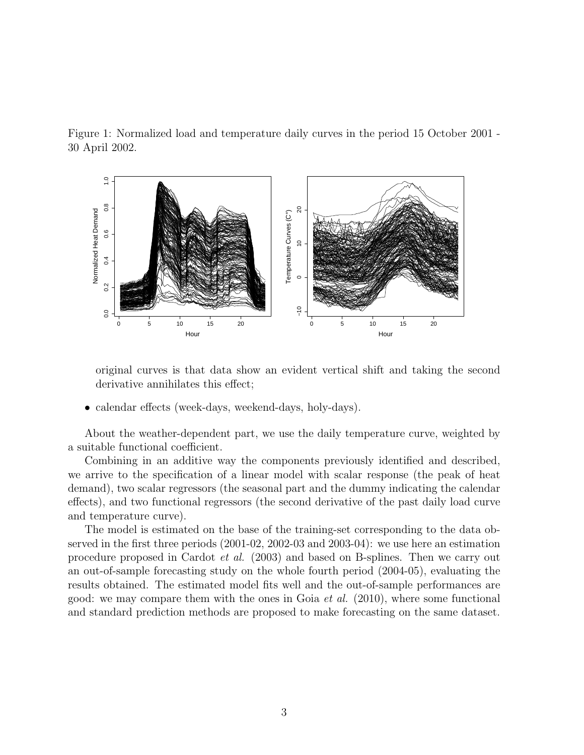



original curves is that data show an evident vertical shift and taking the second derivative annihilates this effect;

• calendar effects (week-days, weekend-days, holy-days).

About the weather-dependent part, we use the daily temperature curve, weighted by a suitable functional coefficient.

Combining in an additive way the components previously identified and described, we arrive to the specification of a linear model with scalar response (the peak of heat demand), two scalar regressors (the seasonal part and the dummy indicating the calendar effects), and two functional regressors (the second derivative of the past daily load curve and temperature curve).

The model is estimated on the base of the training-set corresponding to the data observed in the first three periods (2001-02, 2002-03 and 2003-04): we use here an estimation procedure proposed in Cardot et al. (2003) and based on B-splines. Then we carry out an out-of-sample forecasting study on the whole fourth period (2004-05), evaluating the results obtained. The estimated model fits well and the out-of-sample performances are good: we may compare them with the ones in Goia *et al.* (2010), where some functional and standard prediction methods are proposed to make forecasting on the same dataset.